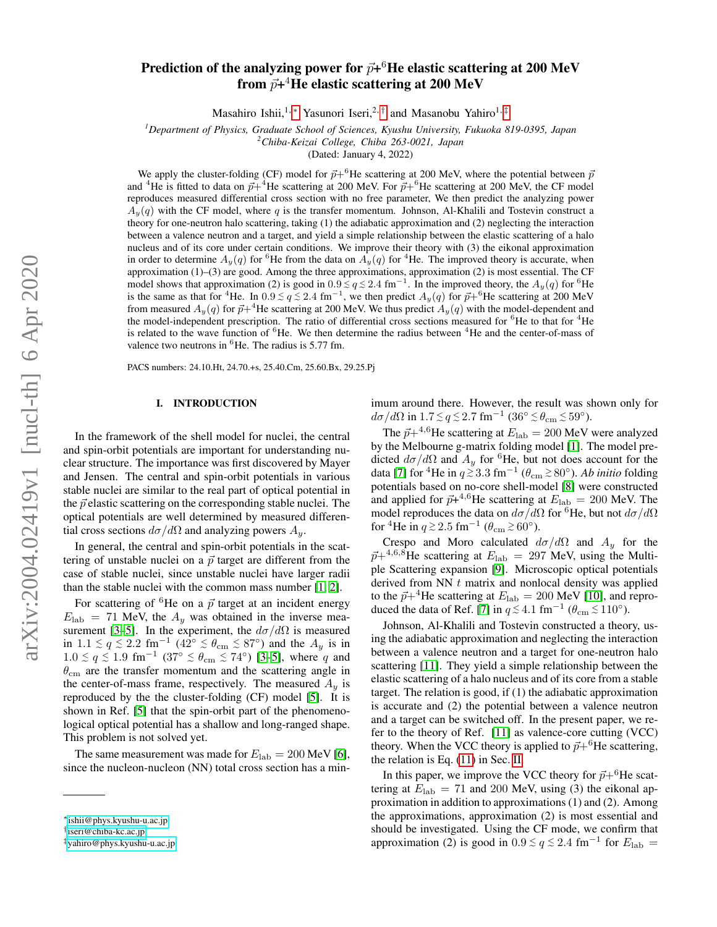# Prediction of the analyzing power for  $\vec{p}+^6\mathrm{He}$  elastic scattering at 200 MeV from  $\vec{p}\texttt{+}^4\textbf{He}$  elastic scattering at 200 MeV

Masahiro Ishii,<sup>1,[∗](#page-0-0)</sup> Yasunori Iseri,<sup>2,[†](#page-0-1)</sup> and Masanobu Yahiro<sup>1,[‡](#page-0-2)</sup>

*<sup>1</sup>Department of Physics, Graduate School of Sciences, Kyushu University, Fukuoka 819-0395, Japan*

*<sup>2</sup>Chiba-Keizai College, Chiba 263-0021, Japan* (Dated: January 4, 2022)

We apply the cluster-folding (CF) model for  $\vec{p}+^6\text{He}$  scattering at 200 MeV, where the potential between  $\vec{p}$ and <sup>4</sup>He is fitted to data on  $\vec{p}+^4$ He scattering at 200 MeV. For  $\vec{p}+^6$ He scattering at 200 MeV, the CF model reproduces measured differential cross section with no free parameter, We then predict the analyzing power  $A_y(q)$  with the CF model, where q is the transfer momentum. Johnson, Al-Khalili and Tostevin construct a theory for one-neutron halo scattering, taking (1) the adiabatic approximation and (2) neglecting the interaction between a valence neutron and a target, and yield a simple relationship between the elastic scattering of a halo nucleus and of its core under certain conditions. We improve their theory with (3) the eikonal approximation in order to determine  $A_y(q)$  for <sup>6</sup>He from the data on  $A_y(q)$  for <sup>4</sup>He. The improved theory is accurate, when approximation  $(1)$ –(3) are good. Among the three approximations, approximation  $(2)$  is most essential. The CF model shows that approximation (2) is good in  $0.9 \leq q \leq 2.4$  fm<sup>-1</sup>. In the improved theory, the  $A_y(q)$  for <sup>6</sup>He is the same as that for <sup>4</sup>He. In  $0.9 \le q \le 2.4$  fm<sup>-1</sup>, we then predict  $A_y(q)$  for  $\vec{p}+^6$ He scattering at 200 MeV from measured  $A_y(q)$  for  $\vec{p}+^4$ He scattering at 200 MeV. We thus predict  $A_y(q)$  with the model-dependent and the model-independent prescription. The ratio of differential cross sections measured for <sup>6</sup>He to that for <sup>4</sup>He is related to the wave function of  ${}^{6}$ He. We then determine the radius between  ${}^{4}$ He and the center-of-mass of valence two neutrons in  ${}^{6}$ He. The radius is 5.77 fm.

PACS numbers: 24.10.Ht, 24.70.+s, 25.40.Cm, 25.60.Bx, 29.25.Pj

## I. INTRODUCTION

In the framework of the shell model for nuclei, the central and spin-orbit potentials are important for understanding nuclear structure. The importance was first discovered by Mayer and Jensen. The central and spin-orbit potentials in various stable nuclei are similar to the real part of optical potential in the  $\vec{p}$  elastic scattering on the corresponding stable nuclei. The optical potentials are well determined by measured differential cross sections  $d\sigma/d\Omega$  and analyzing powers  $A_u$ .

In general, the central and spin-orbit potentials in the scattering of unstable nuclei on a  $\vec{p}$  target are different from the case of stable nuclei, since unstable nuclei have larger radii than the stable nuclei with the common mass number [\[1,](#page-6-0) [2\]](#page-6-1).

For scattering of <sup>6</sup>He on a  $\vec{p}$  target at an incident energy  $E_{\rm lab}$  = 71 MeV, the  $A_y$  was obtained in the inverse mea-surement [\[3](#page-6-2)[–5\]](#page-6-3). In the experiment, the  $d\sigma/d\Omega$  is measured in  $1.1 \le q \le 2.2$  fm<sup>-1</sup> ( $42^{\circ} \le \theta_{\text{cm}} \le 87^{\circ}$ ) and the  $A_y$  is in  $1.0 \le q \le 1.9$  fm<sup>-1</sup>  $(37° \le \theta_{cm} \le 74°)$  [\[3](#page-6-2)-5], where q and  $\theta_{\rm cm}$  are the transfer momentum and the scattering angle in the center-of-mass frame, respectively. The measured  $A_y$  is reproduced by the the cluster-folding (CF) model [\[5\]](#page-6-3). It is shown in Ref. [\[5\]](#page-6-3) that the spin-orbit part of the phenomenological optical potential has a shallow and long-ranged shape. This problem is not solved yet.

The same measurement was made for  $E_{\rm lab} = 200$  MeV [\[6\]](#page-6-4), since the nucleon-nucleon (NN) total cross section has a minimum around there. However, the result was shown only for  $d\sigma/d\Omega$  in  $1.7 \lesssim q \lesssim 2.7$  fm<sup>-1</sup> (36°  $\lesssim \theta_{\rm cm} \lesssim 59$ °).

The  $\vec{p}+^{4,6}$ He scattering at  $E_{\rm lab} = 200$  MeV were analyzed by the Melbourne g-matrix folding model [\[1\]](#page-6-0). The model predicted  $d\sigma/d\Omega$  and  $A_y$  for <sup>6</sup>He, but not does account for the data [\[7\]](#page-6-5) for <sup>4</sup>He in  $q \, \gtrsim \, 3.3 \, \text{fm}^{-1}$  ( $\theta_{\text{cm}} \gtrsim \, 80^{\circ}$ ). *Ab initio* folding potentials based on no-core shell-model [\[8\]](#page-6-6) were constructed and applied for  $\vec{p}+^{4,6}$ He scattering at  $E_{\rm lab} = 200$  MeV. The model reproduces the data on  $d\sigma/d\Omega$  for <sup>6</sup>He, but not  $d\sigma/d\Omega$ for <sup>4</sup>He in  $q \gtrsim 2.5$  fm<sup>-1</sup> ( $\theta_{\rm cm} \gtrsim 60^{\circ}$ ).

Crespo and Moro calculated  $d\sigma/d\Omega$  and  $A_y$  for the  $\vec{p}+4,6,\hat{S}$ He scattering at  $E_{\rm lab} = 297$  MeV, using the Multiple Scattering expansion [\[9\]](#page-6-7). Microscopic optical potentials derived from NN  $t$  matrix and nonlocal density was applied to the  $\vec{p}+4$ He scattering at  $E_{\rm lab} = 200$  MeV [\[10\]](#page-6-8), and repro-duced the data of Ref. [\[7\]](#page-6-5) in  $q \lesssim 4.1 \text{ fm}^{-1}$  ( $\theta_{\text{cm}} \lesssim 110^{\circ}$ ).

Johnson, Al-Khalili and Tostevin constructed a theory, using the adiabatic approximation and neglecting the interaction between a valence neutron and a target for one-neutron halo scattering [\[11\]](#page-6-9). They yield a simple relationship between the elastic scattering of a halo nucleus and of its core from a stable target. The relation is good, if (1) the adiabatic approximation is accurate and (2) the potential between a valence neutron and a target can be switched off. In the present paper, we refer to the theory of Ref. [\[11\]](#page-6-9) as valence-core cutting (VCC) theory. When the VCC theory is applied to  $\vec{p}+{}^{6}$ He scattering, the relation is Eq. [\(11\)](#page-1-0) in Sec. [II.](#page-1-1)

In this paper, we improve the VCC theory for  $\vec{p}+^6\text{He}$  scattering at  $E_{\text{lab}} = 71$  and 200 MeV, using (3) the eikonal approximation in addition to approximations (1) and (2). Among the approximations, approximation (2) is most essential and should be investigated. Using the CF mode, we confirm that approximation (2) is good in  $0.9 \le q \le 2.4$  fm<sup>-1</sup> for  $E_{\text{lab}} =$ 

<span id="page-0-0"></span><sup>∗</sup>[ishii@phys.kyushu-u.ac.jp](mailto:ishii@phys.kyushu-u.ac.jp)

<span id="page-0-1"></span><sup>†</sup> [iseri@chiba-kc.ac.jp](mailto:iseri@chiba-kc.ac.jp)

<span id="page-0-2"></span><sup>‡</sup>[yahiro@phys.kyushu-u.ac.jp](mailto:yahiro@phys.kyushu-u.ac.jp)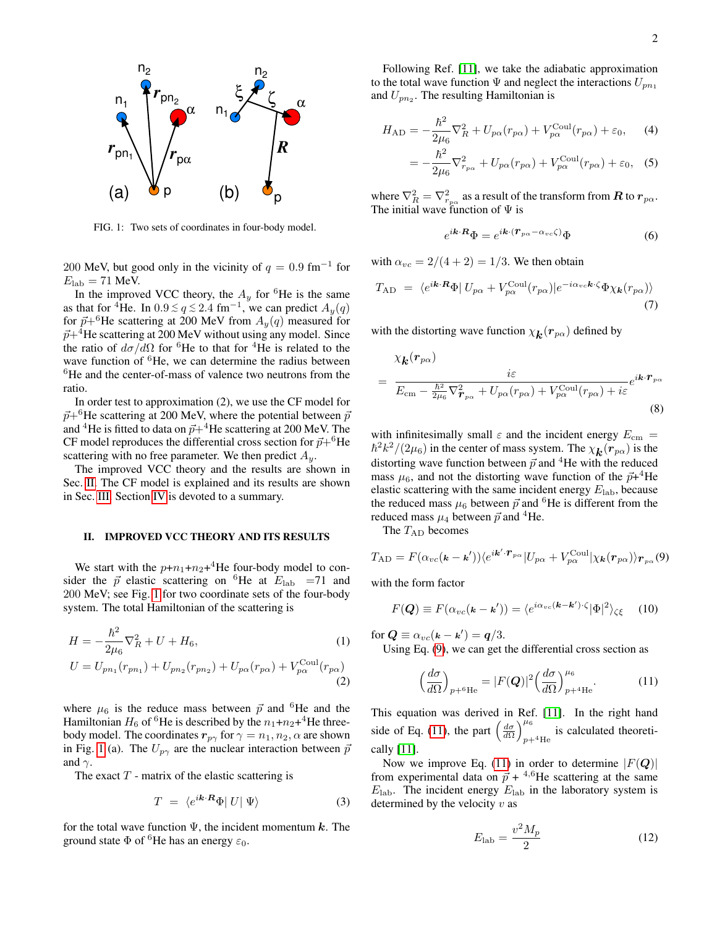

<span id="page-1-2"></span>FIG. 1: Two sets of coordinates in four-body model.

200 MeV, but good only in the vicinity of  $q = 0.9$  fm<sup>-1</sup> for  $E_{\rm lab} = 71$  MeV.

In the improved VCC theory, the  $A_y$  for <sup>6</sup>He is the same as that for <sup>4</sup>He. In  $0.9 \le q \le 2.4$  fm<sup>-1</sup>, we can predict  $A_y(q)$ for  $\vec{p}+^6$ He scattering at 200 MeV from  $A_y(q)$  measured for  $\vec{p}+4$ He scattering at 200 MeV without using any model. Since the ratio of  $d\sigma/d\Omega$  for <sup>6</sup>He to that for <sup>4</sup>He is related to the wave function of <sup>6</sup>He, we can determine the radius between <sup>6</sup>He and the center-of-mass of valence two neutrons from the ratio.

In order test to approximation (2), we use the CF model for  $\vec{p}+^{\text{o}}$ He scattering at 200 MeV, where the potential between  $\vec{p}$ and <sup>4</sup>He is fitted to data on  $\vec{p}+4$ He scattering at 200 MeV. The CF model reproduces the differential cross section for  $\vec{p}+^6\text{He}$ scattering with no free parameter. We then predict  $A_y$ .

The improved VCC theory and the results are shown in Sec. [II.](#page-1-1) The CF model is explained and its results are shown in Sec. [III.](#page-3-0) Section [IV](#page-5-0) is devoted to a summary.

#### <span id="page-1-1"></span>II. IMPROVED VCC THEORY AND ITS RESULTS

We start with the  $p+n_1+n_2+$ <sup>4</sup>He four-body model to consider the  $\vec{p}$  elastic scattering on <sup>6</sup>He at  $E_{\rm lab}$  =71 and 200 MeV; see Fig. [1](#page-1-2) for two coordinate sets of the four-body system. The total Hamiltonian of the scattering is

$$
H = -\frac{\hbar^2}{2\mu_6} \nabla_R^2 + U + H_6,
$$
\n
$$
U = U_{pn_1}(r_{pn_1}) + U_{pn_2}(r_{pn_2}) + U_{p\alpha}(r_{p\alpha}) + V_{p\alpha}^{\text{Coul}}(r_{p\alpha})
$$
\n(1)

where  $\mu_6$  is the reduce mass between  $\vec{p}$  and <sup>6</sup>He and the Hamiltonian  $H_6$  of <sup>6</sup>He is described by the  $n_1+n_2+^4$ He threebody model. The coordinates  $r_{p\gamma}$  for  $\gamma = n_1, n_2, \alpha$  are shown in Fig. [1](#page-1-2) (a). The  $U_{p\gamma}$  are the nuclear interaction between  $\vec{p}$ and  $\gamma$ .

The exact  $T$  - matrix of the elastic scattering is

$$
T = \langle e^{i\mathbf{k} \cdot \mathbf{R}} \Phi | U | \Psi \rangle \tag{3}
$$

for the total wave function  $\Psi$ , the incident momentum k. The ground state  $\Phi$  of <sup>6</sup>He has an energy  $\varepsilon_0$ .

Following Ref. [\[11\]](#page-6-9), we take the adiabatic approximation to the total wave function  $\Psi$  and neglect the interactions  $U_{pn_1}$ and  $U_{pn_2}$ . The resulting Hamiltonian is

$$
H_{AD} = -\frac{\hbar^2}{2\mu_6} \nabla_R^2 + U_{p\alpha}(r_{p\alpha}) + V_{p\alpha}^{\text{Coul}}(r_{p\alpha}) + \varepsilon_0, \quad (4)
$$

$$
= -\frac{\hbar^2}{2\mu_6} \nabla_{r_{p\alpha}}^2 + U_{p\alpha}(r_{p\alpha}) + V_{p\alpha}^{\text{Coul}}(r_{p\alpha}) + \varepsilon_0, \quad (5)
$$

where  $\nabla_R^2=\nabla_{r_{p\alpha}}^2$  as a result of the transform from  $\bm{R}$  to  $\bm{r}_{p\alpha}.$ The initial wave function of  $\Psi$  is

$$
e^{i\mathbf{k}\cdot\mathbf{R}}\Phi = e^{i\mathbf{k}\cdot(\mathbf{r}_{p\alpha}-\alpha_{vc}\zeta)}\Phi
$$
 (6)

with  $\alpha_{vc} = 2/(4+2) = 1/3$ . We then obtain

$$
T_{AD} = \langle e^{i\mathbf{k} \cdot \mathbf{R}} \Phi | U_{p\alpha} + V_{p\alpha}^{\text{Coul}} (r_{p\alpha}) | e^{-i\alpha_{vc}\mathbf{k} \cdot \zeta} \Phi \chi_{\mathbf{k}} (r_{p\alpha}) \rangle
$$
\n(7)

with the distorting wave function  $\chi_{\bm{k}}(\bm{r}_{p\alpha})$  defined by

$$
= \frac{\chi_{\mathbf{k}}(r_{p\alpha})}{E_{\text{cm}} - \frac{\hbar^2}{2\mu_6} \nabla_{\boldsymbol{r}_{p\alpha}}^2 + U_{p\alpha}(r_{p\alpha}) + V_{p\alpha}^{\text{Coul}}(r_{p\alpha}) + i\varepsilon} e^{i\mathbf{k} \cdot \boldsymbol{r}_{p\alpha}}
$$
(8)

with infinitesimally small  $\varepsilon$  and the incident energy  $E_{\text{cm}} =$  $\hbar^2 k^2/(2\mu_6)$  in the center of mass system. The  $\chi_{\bm{k}}(\bm{r}_{p\alpha})$  is the distorting wave function between  $\vec{p}$  and <sup>4</sup>He with the reduced mass  $\mu_6$ , and not the distorting wave function of the  $\vec{p}$ +<sup>4</sup>He elastic scattering with the same incident energy  $E_{\rm lab}$ , because the reduced mass  $\mu_6$  between  $\vec{p}$  and <sup>6</sup>He is different from the reduced mass  $\mu_4$  between  $\vec{p}$  and <sup>4</sup>He.

The  $T_{AD}$  becomes

<span id="page-1-3"></span>
$$
T_{AD} = F(\alpha_{vc}(\mathbf{k} - \mathbf{k}')) \langle e^{i\mathbf{k}' \cdot \mathbf{r}_{p\alpha}} | U_{p\alpha} + V_{p\alpha}^{\text{Coul}} | \chi_{\mathbf{k}}(\mathbf{r}_{p\alpha}) \rangle_{\mathbf{r}_{p\alpha}}(9)
$$

with the form factor

$$
F(\mathbf{Q}) \equiv F(\alpha_{vc}(\mathbf{k} - \mathbf{k}')) = \langle e^{i\alpha_{vc}(\mathbf{k} - \mathbf{k}') \cdot \zeta} | \Phi |^2 \rangle_{\zeta \zeta}
$$
 (10)

for  $\mathbf{Q} \equiv \alpha_{vc}(\mathbf{k} - \mathbf{k}') = \mathbf{q}/3$ .

Using Eq. [\(9\)](#page-1-3), we can get the differential cross section as

<span id="page-1-0"></span>
$$
\left(\frac{d\sigma}{d\Omega}\right)_{p+{}^{6}\text{He}} = |F(\mathbf{Q})|^{2} \left(\frac{d\sigma}{d\Omega}\right)_{p+{}^{4}\text{He}}^{\mu_{6}}.\tag{11}
$$

This equation was derived in Ref. [\[11\]](#page-6-9). In the right hand side of Eq. [\(11\)](#page-1-0), the part  $\left(\frac{d\sigma}{d\Omega}\right)_{n=1}^{\mu_6}$ is calculated theoreti-<br> $p+4$ He cally [\[11\]](#page-6-9).

Now we improve Eq. [\(11\)](#page-1-0) in order to determine  $|F(\mathbf{Q})|$ from experimental data on  $\vec{p}$  + <sup>4,6</sup>He scattering at the same  $E_{\rm lab}$ . The incident energy  $E_{\rm lab}$  in the laboratory system is determined by the velocity  $v$  as

$$
E_{\rm lab} = \frac{v^2 M_p}{2} \tag{12}
$$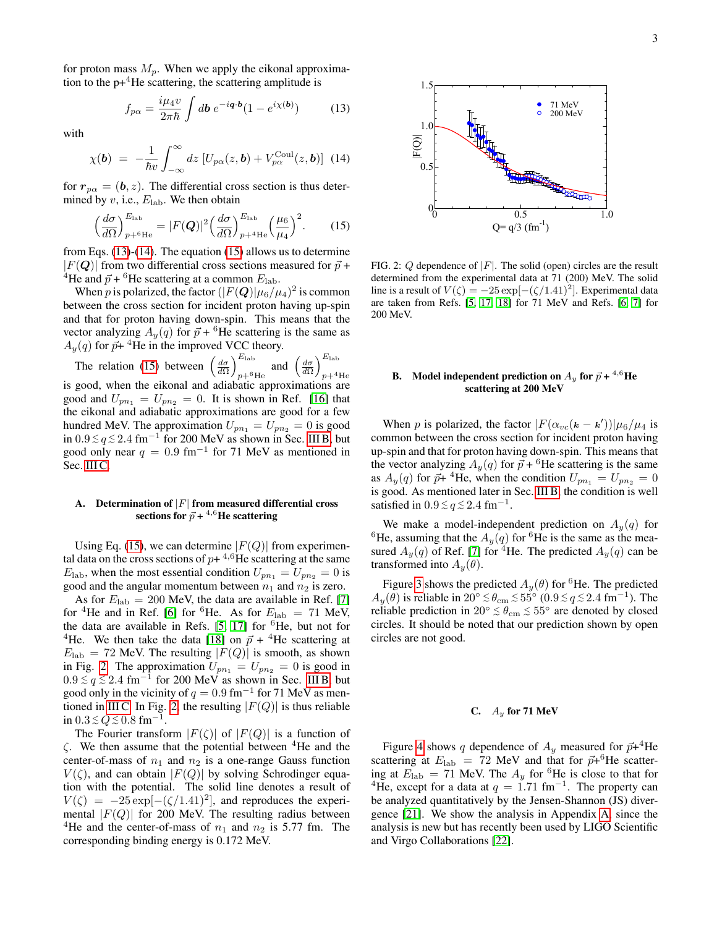for proton mass  $M_p$ . When we apply the eikonal approximation to the  $p+4$ He scattering, the scattering amplitude is

<span id="page-2-0"></span>
$$
f_{p\alpha} = \frac{i\mu_4 v}{2\pi\hbar} \int d\mathbf{b} \ e^{-i\mathbf{q} \cdot \mathbf{b}} (1 - e^{i\chi(\mathbf{b})}) \tag{13}
$$

with

<span id="page-2-1"></span>
$$
\chi(\boldsymbol{b}) = -\frac{1}{\hbar v} \int_{-\infty}^{\infty} dz \left[ U_{p\alpha}(z, \boldsymbol{b}) + V_{p\alpha}^{\text{Coul}}(z, \boldsymbol{b}) \right] (14)
$$

for  $r_{p\alpha} = (b, z)$ . The differential cross section is thus determined by  $v$ , i.e.,  $E_{lab}$ . We then obtain

<span id="page-2-2"></span>
$$
\left(\frac{d\sigma}{d\Omega}\right)_{p+^6\text{He}}^{E_{\text{lab}}} = |F(\mathbf{Q})|^2 \left(\frac{d\sigma}{d\Omega}\right)_{p+^4\text{He}}^{E_{\text{lab}}} \left(\frac{\mu_6}{\mu_4}\right)^2. \tag{15}
$$

from Eqs.  $(13)-(14)$  $(13)-(14)$  $(13)-(14)$ . The equation  $(15)$  allows us to determine  $|F(Q)|$  from two differential cross sections measured for  $\vec{p}$  + <sup>4</sup>He and  $\vec{p}$  + <sup>6</sup>He scattering at a common  $E_{\rm lab}$ .

When  $p$  is polarized, the factor  $(|F(\bm{Q})|\mu_6/\mu_4)^2$  is common between the cross section for incident proton having up-spin and that for proton having down-spin. This means that the vector analyzing  $A_y(q)$  for  $\vec{p}$  + <sup>6</sup>He scattering is the same as  $A_y(q)$  for  $\vec{p}$ + <sup>4</sup>He in the improved VCC theory.

The relation [\(15\)](#page-2-2) between  $\left(\frac{d\sigma}{d\Omega}\right)_{\pi=6}^{E_{\text{lab}}}$  $E_{\rm lab}$  and  $\left(\frac{d\sigma}{d\Omega}\right)_{p+4}^{E_{\rm lab}}$  $p+4$ He is good, when the eikonal and adiabatic approximations are good and  $U_{pn_1} = U_{pn_2} = 0$ . It is shown in Ref. [\[16\]](#page-7-0) that the eikonal and adiabatic approximations are good for a few hundred MeV. The approximation  $U_{pn_1} = U_{pn_2} = 0$  is good in  $0.9 \le q \le 2.4$  fm<sup>−1</sup> for 200 MeV as shown in Sec. [III B,](#page-4-0) but good only near  $q = 0.9$  fm<sup>-1</sup> for 71 MeV as mentioned in Sec. [III C.](#page-4-1)

# A. Determination of  $|F|$  from measured differential cross sections for  $\vec{p}$  + <sup>4,6</sup>He scattering

Using Eq. [\(15\)](#page-2-2), we can determine  $|F(Q)|$  from experimental data on the cross sections of  $p+$ <sup>4,6</sup>He scattering at the same  $E_{\rm lab}$ , when the most essential condition  $U_{pn_1} = U_{pn_2} = 0$  is good and the angular momentum between  $n_1$  and  $n_2$  is zero.

As for  $E_{\rm lab} = 200$  MeV, the data are available in Ref. [\[7\]](#page-6-5) for <sup>4</sup>He and in Ref. [\[6\]](#page-6-4) for <sup>6</sup>He. As for  $E_{\text{lab}} = 71$  MeV, the data are available in Refs.  $[5, 17]$  $[5, 17]$  for <sup>6</sup>He, but not for <sup>4</sup>He. We then take the data [\[18\]](#page-7-2) on  $\vec{p}$  + <sup>4</sup>He scattering at  $E_{\text{lab}} = 72$  MeV. The resulting  $|F(Q)|$  is smooth, as shown in Fig. [2.](#page-2-3) The approximation  $U_{pn_1} = U_{pn_2} = 0$  is good in  $0.9 \lesssim q \lesssim 2.4$  fm<sup>-1</sup> for 200 MeV as shown in Sec. [III B,](#page-4-0) but good only in the vicinity of  $q = 0.9$  fm<sup>-1</sup> for 71 MeV as men-tioned in [III C.](#page-4-1) In Fig. [2,](#page-2-3) the resulting  $|F(Q)|$  is thus reliable in 0.3 ≤  $Q$  ≤ 0.8 fm<sup>-1</sup>. ( $\frac{\langle x \rangle}{\langle x \rangle} \int_{x=0}^{\infty} \frac{dx}{dx} = E(Q)t^2 \left(\frac{dx}{dx}\right)^2$ . (15)<br>
(i.e.,  $\frac{\langle y \rangle}{\langle x \rangle} \int_{x=0}^{\infty} \frac{dx}{dx} = E(Q)t^2 \left(\frac{dx}{dx}\right)^2$ . (15)<br>
from Genergian to The present of  $\langle x \rangle$  and  $\langle x \rangle$  and  $\langle x \rangle$  and  $\langle x \rangle$  and  $\langle x \rangle$  an

The Fourier transform  $|F(\zeta)|$  of  $|F(Q)|$  is a function of  $\zeta$ . We then assume that the potential between <sup>4</sup>He and the center-of-mass of  $n_1$  and  $n_2$  is a one-range Gauss function  $V(\zeta)$ , and can obtain  $|F(Q)|$  by solving Schrodinger equation with the potential. The solid line denotes a result of  $V(\zeta) = -25 \exp[-(\zeta/1.41)^2]$ , and reproduces the experimental  $|F(Q)|$  for 200 MeV. The resulting radius between <sup>4</sup>He and the center-of-mass of  $n_1$  and  $n_2$  is 5.77 fm. The



<span id="page-2-3"></span>FIG. 2:  $Q$  dependence of  $|F|$ . The solid (open) circles are the result determined from the experimental data at 71 (200) MeV. The solid line is a result of  $V(\zeta) = -25 \exp[-(\zeta/1.41)^2]$ . Experimental data are taken from Refs. [\[5,](#page-6-3) [17,](#page-7-1) [18\]](#page-7-2) for 71 MeV and Refs. [\[6,](#page-6-4) [7\]](#page-6-5) for 200 MeV.

# B. Model independent prediction on  $A_y$  for  $\vec{p}$  +  $^{4,6}$ He scattering at 200 MeV

When p is polarized, the factor  $|F(\alpha_{vc}(\mathbf{k} - \mathbf{k}'))| \mu_6 / \mu_4$  is common between the cross section for incident proton having up-spin and that for proton having down-spin. This means that the vector analyzing  $A_y(q)$  for  $\vec{p}$  + <sup>6</sup>He scattering is the same as  $A_y(q)$  for  $\vec{p}$ + <sup>4</sup>He, when the condition  $U_{pn_1} = U_{pn_2} = 0$ is good. As mentioned later in Sec. [III B,](#page-4-0) the condition is well satisfied in  $0.9 \le q \le 2.4$  fm<sup>-1</sup>.

We make a model-independent prediction on  $A_y(q)$  for <sup>6</sup>He, assuming that the  $A_y(q)$  for <sup>6</sup>He is the same as the measured  $A_y(q)$  of Ref. [\[7\]](#page-6-5) for <sup>4</sup>He. The predicted  $A_y(q)$  can be transformed into  $A_y(\theta)$ .

Figure [3](#page-3-1) shows the predicted  $A_y(\theta)$  for <sup>6</sup>He. The predicted  $A_y(\theta)$  is reliable in  $20^{\circ} \lesssim \theta_{\rm cm} \lesssim 55^{\circ} (0.9 \lesssim q \lesssim 2.4 \; \rm fm^{-1})$ . The reliable prediction in  $20^{\circ} \lesssim \theta_{\rm cm} \lesssim 55^{\circ}$  are denoted by closed e e circles. It should be noted that our prediction shown by open circles are not good.

# C.  $A_u$  for 71 MeV

Figure [4](#page-3-2) shows q dependence of  $A_y$  measured for  $\vec{p}$ +<sup>4</sup>He scattering at  $E_{\rm lab}$  = 72 MeV and that for  $\vec{p}+^6$ He scattering at  $E_{\text{lab}} = 71$  MeV. The  $A_y$  for <sup>6</sup>He is close to that for <sup>4</sup>He, except for a data at  $q = 1.71$  fm<sup>-1</sup>. The property can be analyzed quantitatively by the Jensen-Shannon (JS) divergence [\[21\]](#page-7-3). We show the analysis in Appendix [A,](#page-6-10) since the analysis is new but has recently been used by LIGO Scientific and Virgo Collaborations [\[22\]](#page-7-4).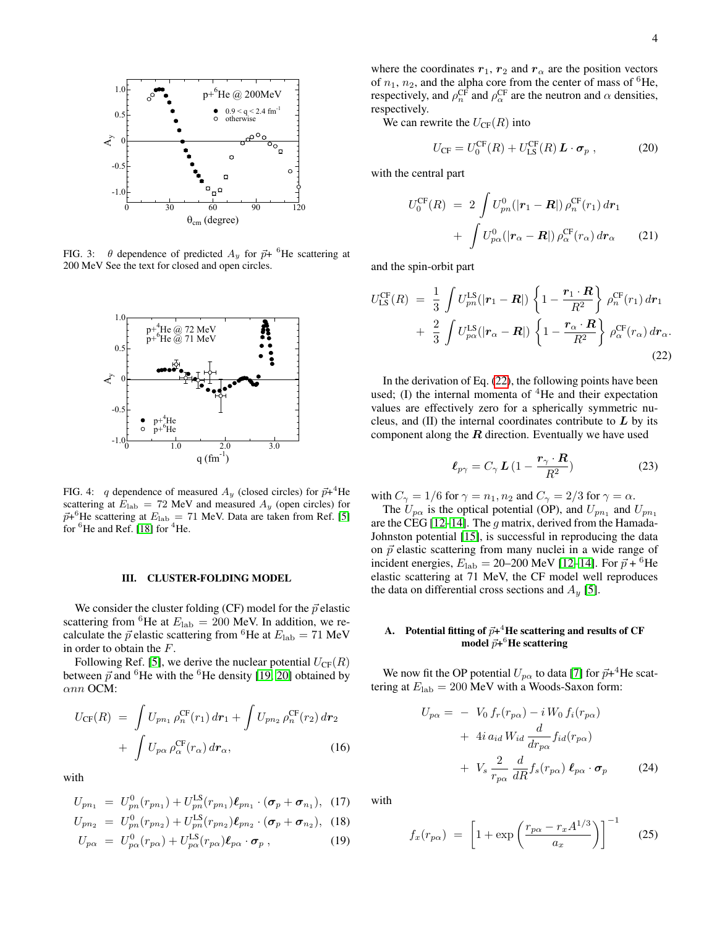

<span id="page-3-1"></span>FIG. 3:  $\theta$  dependence of predicted  $A_y$  for  $\vec{p}$ + <sup>6</sup>He scattering at 200 MeV See the text for closed and open circles.



<span id="page-3-2"></span>FIG. 4: q dependence of measured  $A_y$  (closed circles) for  $\vec{p}$ + <sup>4</sup>He scattering at  $E_{\text{lab}} = 72 \text{ MeV}$  and measured  $A_y$  (open circles) for  $\vec{p}$ <sup>+6</sup>He scattering at  $E_{\rm lab} = 71$  MeV. Data are taken from Ref. [\[5\]](#page-6-3) for  ${}^{6}$ He and Ref. [\[18\]](#page-7-2) for  ${}^{4}$ He.

#### <span id="page-3-0"></span>III. CLUSTER-FOLDING MODEL

We consider the cluster folding (CF) model for the  $\vec{p}$  elastic scattering from <sup>6</sup>He at  $E_{\text{lab}} = 200$  MeV. In addition, we recalculate the  $\vec{p}$  elastic scattering from <sup>6</sup>He at  $E_{\rm lab} = 71$  MeV in order to obtain the F.

Following Ref. [\[5\]](#page-6-3), we derive the nuclear potential  $U_{CF}(R)$ between  $\vec{p}$  and <sup>6</sup>He with the <sup>6</sup>He density [\[19,](#page-7-5) [20\]](#page-7-6) obtained by αnn OCM:

$$
U_{\text{CF}}(R) = \int U_{pn_1} \rho_n^{\text{CF}}(r_1) dr_1 + \int U_{pn_2} \rho_n^{\text{CF}}(r_2) dr_2
$$

$$
+ \int U_{p\alpha} \rho_\alpha^{\text{CF}}(r_\alpha) dr_\alpha, \qquad (16)
$$

with

$$
U_{pn_1} = U_{pn}^0(r_{pn_1}) + U_{pn}^{\text{LS}}(r_{pn_1})\ell_{pn_1} \cdot (\sigma_p + \sigma_{n_1}), \quad (17)
$$

$$
U_{pn_2} = U_{pn}^0(r_{pn_2}) + U_{pn}^{\text{LS}}(r_{pn_2})\ell_{pn_2} \cdot (\sigma_p + \sigma_{n_2}), \quad (18)
$$

$$
U_{p\alpha} = U_{p\alpha}^{0}(r_{p\alpha}) + U_{p\alpha}^{\text{LS}}(r_{p\alpha})\ell_{p\alpha} \cdot \boldsymbol{\sigma}_{p} , \qquad (19)
$$

where the coordinates  $r_1$ ,  $r_2$  and  $r_\alpha$  are the position vectors of  $n_1$ ,  $n_2$ , and the alpha core from the center of mass of <sup>6</sup>He, respectively, and  $\rho_n^{\rm CF}$  and  $\rho_\alpha^{\rm CF}$  are the neutron and  $\alpha$  densities, respectively.

We can rewrite the  $U_{CF}(R)$  into

$$
U_{\rm CF} = U_0^{\rm CF}(R) + U_{\rm LS}^{\rm CF}(R) \mathbf{L} \cdot \boldsymbol{\sigma}_p , \qquad (20)
$$

with the central part

$$
U_0^{\text{CF}}(R) = 2 \int U_{pn}^0(|\mathbf{r}_1 - \mathbf{R}|) \rho_n^{\text{CF}}(\mathbf{r}_1) d\mathbf{r}_1
$$

$$
+ \int U_{p\alpha}^0(|\mathbf{r}_{\alpha} - \mathbf{R}|) \rho_\alpha^{\text{CF}}(\mathbf{r}_{\alpha}) d\mathbf{r}_{\alpha}
$$
(21)

and the spin-orbit part

<span id="page-3-3"></span>
$$
U_{\text{LS}}^{\text{CF}}(R) = \frac{1}{3} \int U_{pn}^{\text{LS}}(|\mathbf{r}_{1} - \mathbf{R}|) \left\{ 1 - \frac{\mathbf{r}_{1} \cdot \mathbf{R}}{R^{2}} \right\} \rho_{n}^{\text{CF}}(\mathbf{r}_{1}) d\mathbf{r}_{1} + \frac{2}{3} \int U_{p\alpha}^{\text{LS}}(|\mathbf{r}_{\alpha} - \mathbf{R}|) \left\{ 1 - \frac{\mathbf{r}_{\alpha} \cdot \mathbf{R}}{R^{2}} \right\} \rho_{\alpha}^{\text{CF}}(\mathbf{r}_{\alpha}) d\mathbf{r}_{\alpha}.
$$
\n(22)

In the derivation of Eq.  $(22)$ , the following points have been used; (I) the internal momenta of  ${}^{4}$ He and their expectation values are effectively zero for a spherically symmetric nucleus, and  $(II)$  the internal coordinates contribute to  $L$  by its component along the  $R$  direction. Eventually we have used

$$
\ell_{p\gamma} = C_{\gamma} L \left( 1 - \frac{r_{\gamma} \cdot R}{R^2} \right) \tag{23}
$$

with  $C_{\gamma} = 1/6$  for  $\gamma = n_1, n_2$  and  $C_{\gamma} = 2/3$  for  $\gamma = \alpha$ .

The  $U_{p\alpha}$  is the optical potential (OP), and  $U_{p n_1}$  and  $U_{p n_1}$ are the CEG [\[12](#page-6-11)[–14\]](#page-6-12). The  $g$  matrix, derived from the Hamada-Johnston potential [\[15\]](#page-7-7), is successful in reproducing the data on  $\vec{p}$  elastic scattering from many nuclei in a wide range of incident energies,  $E_{\rm lab} = 20{\text -}200$  MeV [\[12](#page-6-11)[–14\]](#page-6-12). For  $\vec{p}$  + <sup>6</sup>He elastic scattering at 71 MeV, the CF model well reproduces the data on differential cross sections and  $A_y$  [\[5\]](#page-6-3).

# A. Potential fitting of  $\vec{p}+^4$ He scattering and results of CF model  $\vec{p+}^6\mathbf{He}$  scattering

We now fit the OP potential  $U_{p\alpha}$  to data [\[7\]](#page-6-5) for  $\vec{p}+^4$ He scattering at  $E_{\rm lab} = 200$  MeV with a Woods-Saxon form:

$$
U_{p\alpha} = -V_0 f_r(r_{p\alpha}) - i W_0 f_i(r_{p\alpha})
$$
  
+  $4i a_{id} W_{id} \frac{d}{dr_{p\alpha}} f_{id}(r_{p\alpha})$   
+  $V_s \frac{2}{r_{p\alpha}} \frac{d}{dR} f_s(r_{p\alpha}) \ell_{p\alpha} \cdot \sigma_p$  (24)

with

$$
f_x(r_{p\alpha}) = \left[1 + \exp\left(\frac{r_{p\alpha} - r_x A^{1/3}}{a_x}\right)\right]^{-1} \quad (25)
$$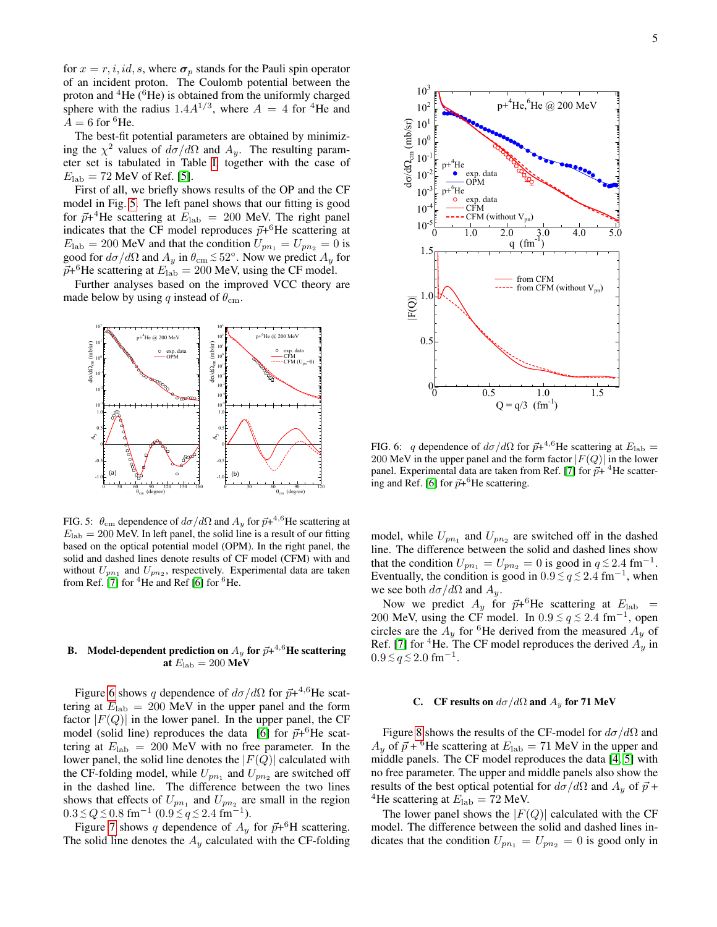for  $x = r, i, id, s$ , where  $\sigma_p$  stands for the Pauli spin operator of an incident proton. The Coulomb potential between the proton and  ${}^{4}$ He ( ${}^{6}$ He) is obtained from the uniformly charged sphere with the radius  $1.4A^{1/3}$ , where  $A = 4$  for <sup>4</sup>He and  $A = 6$  for <sup>6</sup>He.

The best-fit potential parameters are obtained by minimizing the  $\chi^2$  values of  $d\sigma/d\Omega$  and  $A_y$ . The resulting parameter set is tabulated in Table [I,](#page-5-1) together with the case of  $E_{\rm lab} = 72$  MeV of Ref. [\[5\]](#page-6-3).

First of all, we briefly shows results of the OP and the CF model in Fig. [5.](#page-4-2) The left panel shows that our fitting is good for  $\vec{p}$ +<sup>4</sup>He scattering at  $E_{\rm lab}$  = 200 MeV. The right panel indicates that the CF model reproduces  $\vec{p}+{}^6\textrm{He}$  scattering at  $E_{\text{lab}} = 200 \text{ MeV}$  and that the condition  $U_{pn_1} = U_{pn_2} = 0$  is good for  $d\sigma/d\Omega$  and  $A_y$  in  $\theta_{\rm cm} \lesssim 52^{\circ}$ . Now we predict  $A_y$  for  $\vec{p}$ +<sup>6</sup>He scattering at  $E_{\rm lab} = 200$  MeV, using the CF model.

Further analyses based on the improved VCC theory are made below by using q instead of  $\theta_{cm}$ .



<span id="page-4-2"></span>FIG. 5:  $\theta_{\rm cm}$  dependence of  $d\sigma/d\Omega$  and  $A_y$  for  $\vec{p}+^{4,6}$ He scattering at  $E_{\rm lab} = 200$  MeV. In left panel, the solid line is a result of our fitting based on the optical potential model (OPM). In the right panel, the solid and dashed lines denote results of CF model (CFM) with and without  $U_{pn_1}$  and  $U_{pn_2}$ , respectively. Experimental data are taken from Ref. [\[7\]](#page-6-5) for  ${}^{4}$ He and Ref [\[6\]](#page-6-4) for  ${}^{6}$ He.

# <span id="page-4-0"></span>B. Model-dependent prediction on  $A_y$  for  $\vec{p+}^{4,6}$ He scattering at  $E_{\rm lab} = 200 \text{ MeV}$

Figure [6](#page-4-3) shows q dependence of  $d\sigma/d\Omega$  for  $\vec{p}+^{4,6}$ He scattering at  $E_{\rm lab} = 200$  MeV in the upper panel and the form factor  $|F(Q)|$  in the lower panel. In the upper panel, the CF model (solid line) reproduces the data [\[6\]](#page-6-4) for  $\vec{p}+^6$ He scattering at  $E_{\rm lab} = 200$  MeV with no free parameter. In the lower panel, the solid line denotes the  $|F(Q)|$  calculated with the CF-folding model, while  $U_{pn_1}$  and  $U_{pn_2}$  are switched off in the dashed line. The difference between the two lines shows that effects of  $U_{pn_1}$  and  $U_{pn_2}$  are small in the region  $0.3 \le Q \le 0.8$  fm<sup>-1</sup> (0.9 ≤ q ≤ 2.4 fm<sup>-1</sup>).

Figure [7](#page-5-2) shows q dependence of  $A_y$  for  $\vec{p}+^6H$  scattering. The solid line denotes the  $A_y$  calculated with the CF-folding



<span id="page-4-3"></span>FIG. 6: q dependence of  $d\sigma/d\Omega$  for  $\vec{p}$ +<sup>4,6</sup>He scattering at  $E_{\rm lab} =$ 200 MeV in the upper panel and the form factor  $|F(Q)|$  in the lower panel. Experimental data are taken from Ref. [\[7\]](#page-6-5) for  $\vec{p}$ + <sup>4</sup>He scatter-ing and Ref. [\[6\]](#page-6-4) for  $\vec{p}$ +<sup>6</sup>He scattering.

model, while  $U_{pn_1}$  and  $U_{pn_2}$  are switched off in the dashed line. The difference between the solid and dashed lines show that the condition  $U_{pn_1} = U_{pn_2} = 0$  is good in  $q \lesssim 2.4$  fm<sup>-1</sup>. Eventually, the condition is good in  $0.9 \lesssim q \lesssim 2.4 \text{ fm}^{-1}$ , when we see both  $d\sigma/d\Omega$  and  $A_y$ .

Now we predict  $A_y$  for  $\vec{p}+^6$ He scattering at  $E_{\rm lab}$  = 200 MeV, using the CF model. In  $0.9 \le q \le 2.4$  fm<sup>-1</sup>, open circles are the  $A_y$  for <sup>6</sup>He derived from the measured  $A_y$  of Ref. [\[7\]](#page-6-5) for <sup>4</sup>He. The CF model reproduces the derived  $A_y$  in  $0.9 \lesssim q \lesssim 2.0$  fm<sup>-1</sup>.

## <span id="page-4-1"></span>C. CF results on  $d\sigma/d\Omega$  and  $A_y$  for 71 MeV

Figure [8](#page-5-3) shows the results of the CF-model for  $d\sigma/d\Omega$  and  $A_y$  of  $\vec{p}$  + <sup>6</sup>He scattering at  $E_{\rm lab} = 71$  MeV in the upper and middle panels. The CF model reproduces the data [\[4,](#page-6-13) [5\]](#page-6-3) with no free parameter. The upper and middle panels also show the results of the best optical potential for  $d\sigma/d\Omega$  and  $A_y$  of  $\vec{p}$  + <sup>4</sup>He scattering at  $E_{\rm lab} = 72$  MeV.

The lower panel shows the  $|F(Q)|$  calculated with the CF model. The difference between the solid and dashed lines indicates that the condition  $U_{pn_1} = U_{pn_2} = 0$  is good only in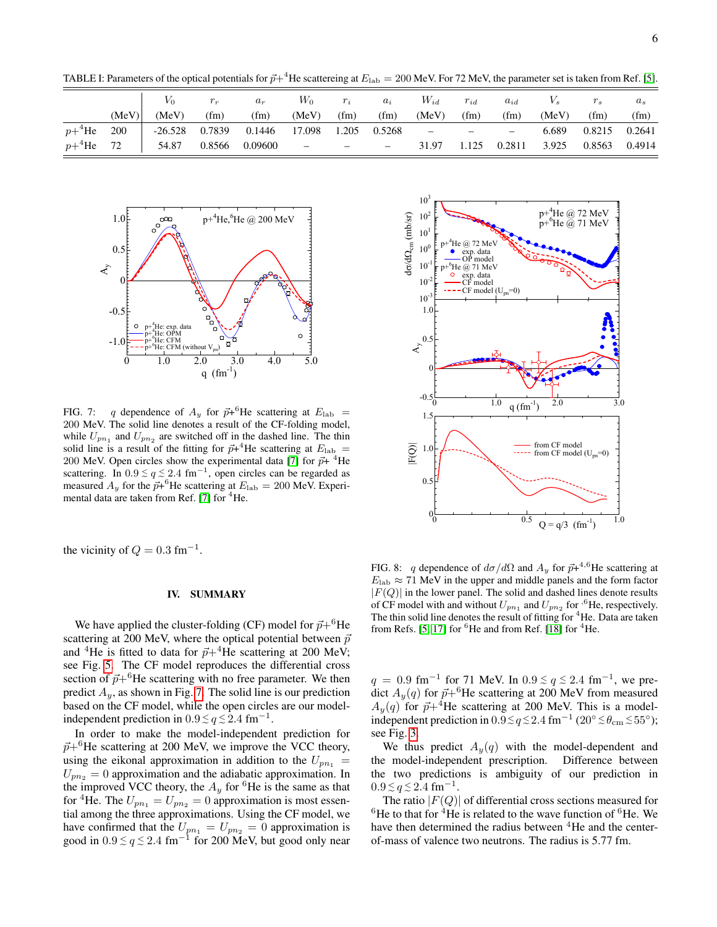<span id="page-5-1"></span>TABLE I: Parameters of the optical potentials for  $\vec{p}+^4$ He scattereing at  $E_{\rm lab} = 200$  MeV. For 72 MeV, the parameter set is taken from Ref. [\[5\]](#page-6-3).

|           |            | $V_0$     | $r_r$  | $a_r$          | $W_0$         | $r_i$ | $a_i$                    | $W_{id}$                                          | $r_{id}$ | $a_{id}$ |       |        | $a_s$  |
|-----------|------------|-----------|--------|----------------|---------------|-------|--------------------------|---------------------------------------------------|----------|----------|-------|--------|--------|
|           | (MeV)      | (MeV)     | (fm)   | (fm)           | (MeV)         | (fm)  | (fm)                     | (MeV)                                             | (fm)     | (fm)     | (MeV) | (fm)   | (fm)   |
| $p+4$ He  | <b>200</b> | $-26.528$ | 0.7839 | 0.1446         | 17.098        | 1.205 | 0.5268                   | $\frac{1}{2}$ and $\frac{1}{2}$ and $\frac{1}{2}$ |          |          | 6.689 | 0.8215 | 0.2641 |
| $p+^4$ He | 72         | 54.87     |        | 0.8566 0.09600 | $\omega =  -$ |       | $\overline{\phantom{m}}$ | 31.97                                             | 1.125    | 0.2811   | 3.925 | 0.8563 | 0.4914 |



<span id="page-5-2"></span>FIG. 7: q dependence of  $A_y$  for  $\vec{p}+^6$ He scattering at  $E_{\text{lab}}$  = 200 MeV. The solid line denotes a result of the CF-folding model, while  $U_{pn_1}$  and  $U_{pn_2}$  are switched off in the dashed line. The thin solid line is a result of the fitting for  $\vec{p}$ +<sup>4</sup>He scattering at  $E_{\text{lab}}$  = 200 MeV. Open circles show the experimental data [\[7\]](#page-6-5) for  $\vec{p}$ + <sup>4</sup>He scattering. In  $0.9 \le q \le 2.4$  fm<sup>-1</sup>, open circles can be regarded as measured  $A_y$  for the  $\vec{p}+^6$ He scattering at  $E_{\rm lab} = 200$  MeV. Experi-mental data are taken from Ref. [\[7\]](#page-6-5) for  ${}^{4}$ He.

the vicinity of  $Q = 0.3$  fm<sup>-1</sup>.

#### <span id="page-5-0"></span>IV. SUMMARY

We have applied the cluster-folding (CF) model for  $\vec{p}+^6\text{He}$ scattering at 200 MeV, where the optical potential between  $\vec{p}$ and <sup>4</sup>He is fitted to data for  $\vec{p}+4$ He scattering at 200 MeV; see Fig. [5.](#page-4-2) The CF model reproduces the differential cross section of  $\vec{p}+^6$ He scattering with no free parameter. We then predict  $A_y$ , as shown in Fig. [7.](#page-5-2) The solid line is our prediction based on the CF model, while the open circles are our modelindependent prediction in  $0.9 \lesssim q \lesssim 2.4 \text{ fm}^{-1}$ .

In order to make the model-independent prediction for  $\vec{p}+^6$ He scattering at 200 MeV, we improve the VCC theory, using the eikonal approximation in addition to the  $U_{pn_1} =$  $U_{p n_2} = 0$  approximation and the adiabatic approximation. In the improved VCC theory, the  $A_y$  for <sup>6</sup>He is the same as that for <sup>4</sup>He. The  $U_{pn_1} = U_{pn_2} = 0$  approximation is most essential among the three approximations. Using the CF model, we have confirmed that the  $U_{pn_1} = U_{pn_2} = 0$  approximation is good in  $0.9 \le q \le 2.4$  fm<sup>-1</sup> for 200 MeV, but good only near



<span id="page-5-3"></span>FIG. 8: q dependence of  $d\sigma/d\Omega$  and  $A_y$  for  $\vec{p}$ +<sup>4,6</sup>He scattering at  $E_{\rm lab} \approx 71$  MeV in the upper and middle panels and the form factor  $|F(Q)|$  in the lower panel. The solid and dashed lines denote results of CF model with and without  $U_{pn_1}$  and  $U_{pn_2}$  for <sup>6</sup>He, respectively. The thin solid line denotes the result of fitting for <sup>4</sup>He. Data are taken from Refs. [\[5,](#page-6-3) [17\]](#page-7-1) for  ${}^{6}$ He and from Ref. [\[18\]](#page-7-2) for  ${}^{4}$ He.

 $q = 0.9$  fm<sup>-1</sup> for 71 MeV. In  $0.9 \le q \le 2.4$  fm<sup>-1</sup>, we predict  $A_y(q)$  for  $\vec{p}+^6$ He scattering at 200 MeV from measured  $A_y(q)$  for  $\vec{p}+4$ He scattering at 200 MeV. This is a modelindependent prediction in  $0.9 \lesssim q \lesssim 2.4~\rm fm^{-1}$  (20°  $\lesssim \theta_{\rm cm} \lesssim 55^{\circ}$ ); see Fig. [3.](#page-3-1)

We thus predict  $A_y(q)$  with the model-dependent and the model-independent prescription. Difference between the two predictions is ambiguity of our prediction in  $0.9 \le q \le 2.4$  fm<sup>-1</sup>.

The ratio  $|F(Q)|$  of differential cross sections measured for  ${}^{6}$ He to that for <sup>4</sup>He is related to the wave function of  ${}^{6}$ He. We have then determined the radius between <sup>4</sup>He and the centerof-mass of valence two neutrons. The radius is 5.77 fm.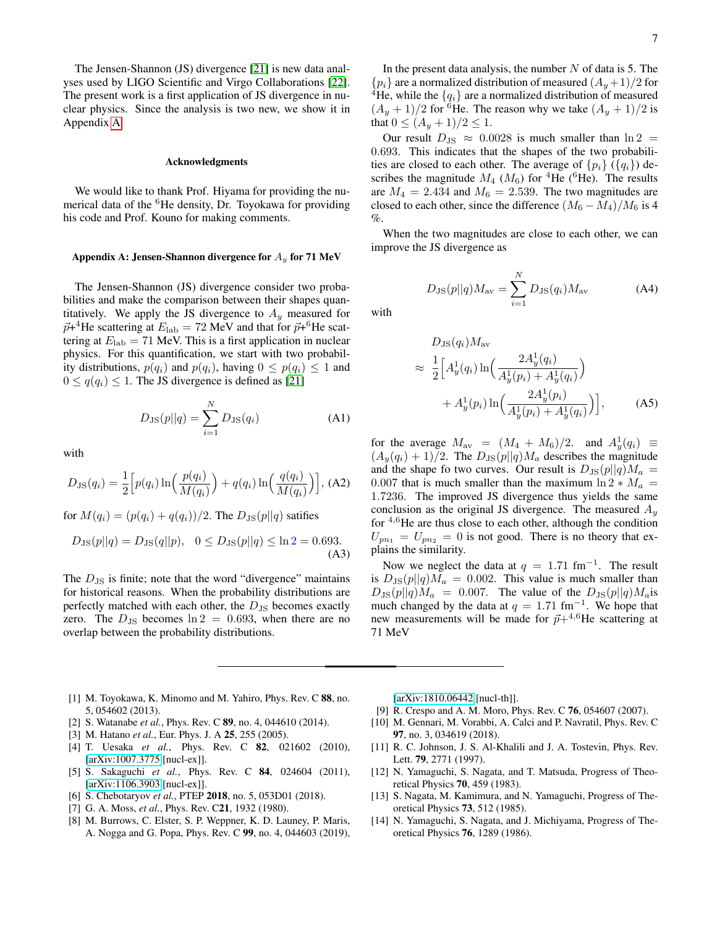The Jensen-Shannon (JS) divergence [\[21\]](#page-7-3) is new data analyses used by LIGO Scientific and Virgo Collaborations [\[22\]](#page-7-4). The present work is a first application of JS divergence in nuclear physics. Since the analysis is two new, we show it in Appendix [A.](#page-6-10)

#### Acknowledgments

We would like to thank Prof. Hiyama for providing the numerical data of the  ${}^{6}$ He density, Dr. Toyokawa for providing his code and Prof. Kouno for making comments.

#### <span id="page-6-10"></span>Appendix A: Jensen-Shannon divergence for  $A_y$  for 71 MeV

The Jensen-Shannon (JS) divergence consider two probabilities and make the comparison between their shapes quantitatively. We apply the JS divergence to  $A_y$  measured for  $\vec{p}$ +<sup>4</sup>He scattering at  $E_{\rm lab} = 72$  MeV and that for  $\vec{p}$ +<sup>6</sup>He scattering at  $E_{\text{lab}} = 71$  MeV. This is a first application in nuclear physics. For this quantification, we start with two probability distributions,  $p(q_i)$  and  $p(q_i)$ , having  $0 \leq p(q_i) \leq 1$  and  $0 \leq q(q_i) \leq 1$ . The JS divergence is defined as [\[21\]](#page-7-3)

$$
D_{\rm JS}(p||q) = \sum_{i=1}^{N} D_{\rm JS}(q_i)
$$
 (A1)

with

$$
D_{\text{JS}}(q_i) = \frac{1}{2} \Big[ p(q_i) \ln \Big( \frac{p(q_i)}{M(q_i)} \Big) + q(q_i) \ln \Big( \frac{q(q_i)}{M(q_i)} \Big) \Big], \text{(A2)}
$$

for  $M(q_i) = (p(q_i) + q(q_i))/2$ . The  $D_{\text{JS}}(p||q)$  satifies

$$
D_{\text{JS}}(p||q) = D_{\text{JS}}(q||p), \quad 0 \le D_{\text{JS}}(p||q) \le \ln 2 = 0.693.
$$
\n(A3)

The  $D_{\text{JS}}$  is finite; note that the word "divergence" maintains for historical reasons. When the probability distributions are perfectly matched with each other, the  $D_{\text{JS}}$  becomes exactly zero. The  $D_{\text{JS}}$  becomes  $\ln 2 = 0.693$ , when there are no overlap between the probability distributions.

In the present data analysis, the number  $N$  of data is 5. The  $\{p_i\}$  are a normalized distribution of measured  $(A_u+1)/2$  for <sup>4</sup>He, while the  $\{q_i\}$  are a normalized distribution of measured  $(A_y + 1)/2$  for <sup>6</sup>He. The reason why we take  $(A_y + 1)/2$  is that  $0 \le (A_y + 1)/2 \le 1$ .

Our result  $D_{\text{JS}} \approx 0.0028$  is much smaller than  $\ln 2 =$ 0.693. This indicates that the shapes of the two probabilities are closed to each other. The average of  $\{p_i\}$  ( $\{q_i\}$ ) describes the magnitude  $M_4$  ( $M_6$ ) for <sup>4</sup>He (<sup>6</sup>He). The results are  $M_4 = 2.434$  and  $M_6 = 2.539$ . The two magnitudes are closed to each other, since the difference  $(M_6 - M_4)/M_6$  is 4 %.

When the two magnitudes are close to each other, we can improve the JS divergence as

> $D_{\text{JS}}(p||q)M_{\text{av}} = \sum^{N}$  $i=1$  $D_{\text{JS}}(q_i)M_{\text{av}}$  (A4)

with

$$
D_{\text{JS}}(q_i) M_{\text{av}}
$$
  
\n
$$
\approx \frac{1}{2} \Big[ A_y^1(q_i) \ln \Big( \frac{2A_y^1(q_i)}{A_y^1(p_i) + A_y^1(q_i)} \Big) + A_y^1(p_i) \ln \Big( \frac{2A_y^1(p_i)}{A_y^1(p_i) + A_y^1(q_i)} \Big) \Big],
$$
 (A5)

for the average  $M_{\text{av}} = (M_4 + M_6)/2$ . and  $A_y^1(q_i) \equiv$  $(A_y(q_i) + 1)/2$ . The  $D_{\text{JS}}(p||q)M_a$  describes the magnitude and the shape fo two curves. Our result is  $D_{\text{JS}}(p||q)M_a =$ 0.007 that is much smaller than the maximum  $\ln 2 * M_a$  = 1.7236. The improved JS divergence thus yields the same conclusion as the original JS divergence. The measured  $A_y$ for  $4.6$  He are thus close to each other, although the condition  $U_{pn_1} = U_{pn_2} = 0$  is not good. There is no theory that explains the similarity.

Now we neglect the data at  $q = 1.71$  fm<sup>-1</sup>. The result is  $D_{\text{JS}}(p||q)M_a = 0.002$ . This value is much smaller than  $D_{\text{JS}}(p||q)M_a = 0.007$ . The value of the  $D_{\text{JS}}(p||q)M_a$  is much changed by the data at  $q = 1.71$  fm<sup>-1</sup>. We hope that new measurements will be made for  $\vec{p}+4,6$ He scattering at 71 MeV

- <span id="page-6-0"></span>[1] M. Toyokawa, K. Minomo and M. Yahiro, Phys. Rev. C 88, no. 5, 054602 (2013).
- <span id="page-6-1"></span>[2] S. Watanabe *et al.*, Phys. Rev. C 89, no. 4, 044610 (2014).
- <span id="page-6-2"></span>[3] M. Hatano *et al.*, Eur. Phys. J. A 25, 255 (2005).
- <span id="page-6-13"></span>[4] T. Uesaka *et al.*, Phys. Rev. C 82, 021602 (2010), [\[arXiv:1007.3775](http://arxiv.org/abs/1007.3775) [nucl-ex]].
- <span id="page-6-3"></span>[5] S. Sakaguchi *et al.*, Phys. Rev. C 84, 024604 (2011), [\[arXiv:1106.3903](http://arxiv.org/abs/1106.3903) [nucl-ex]].
- <span id="page-6-4"></span>[6] S. Chebotaryov *et al.*, PTEP 2018, no. 5, 053D01 (2018).
- <span id="page-6-5"></span>[7] G. A. Moss, *et al.*, Phys. Rev. C21, 1932 (1980).
- <span id="page-6-6"></span>[8] M. Burrows, C. Elster, S. P. Weppner, K. D. Launey, P. Maris, A. Nogga and G. Popa, Phys. Rev. C 99, no. 4, 044603 (2019),

[\[arXiv:1810.06442](http://arxiv.org/abs/1810.06442) [nucl-th]].

- <span id="page-6-7"></span>[9] R. Crespo and A. M. Moro, Phys. Rev. C **76**, 054607 (2007).
- <span id="page-6-8"></span>[10] M. Gennari, M. Vorabbi, A. Calci and P. Navratil, Phys. Rev. C 97, no. 3, 034619 (2018).
- <span id="page-6-9"></span>[11] R. C. Johnson, J. S. Al-Khalili and J. A. Tostevin, Phys. Rev. Lett. 79, 2771 (1997).
- <span id="page-6-11"></span>[12] N. Yamaguchi, S. Nagata, and T. Matsuda, Progress of Theoretical Physics 70, 459 (1983).
- [13] S. Nagata, M. Kamimura, and N. Yamaguchi, Progress of Theoretical Physics 73, 512 (1985).
- <span id="page-6-12"></span>[14] N. Yamaguchi, S. Nagata, and J. Michiyama, Progress of Theoretical Physics 76, 1289 (1986).